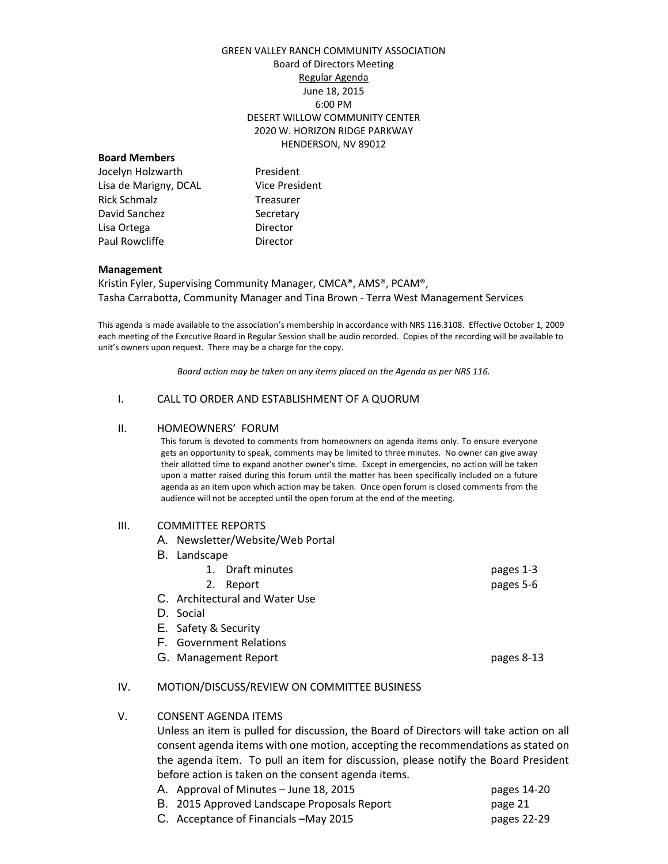# GREEN VALLEY RANCH COMMUNITY ASSOCIATION Board of Directors Meeting Regular Agenda June 18, 2015 6:00 PM DESERT WILLOW COMMUNITY CENTER 2020 W. HORIZON RIDGE PARKWAY HENDERSON, NV 89012

### **Board Members**

Jocelyn Holzwarth President Lisa de Marigny, DCAL Vice President Rick Schmalz Treasurer David Sanchez Secretary Lisa Ortega **Director** Paul Rowcliffe **Director** 

#### **Management**

Kristin Fyler, Supervising Community Manager, CMCA®, AMS®, PCAM®, Tasha Carrabotta, Community Manager and Tina Brown - Terra West Management Services

This agenda is made available to the association's membership in accordance with NRS 116.3108. Effective October 1, 2009 each meeting of the Executive Board in Regular Session shall be audio recorded. Copies of the recording will be available to unit's owners upon request. There may be a charge for the copy.

*Board action may be taken on any items placed on the Agenda as per NRS 116.*

### I. CALL TO ORDER AND ESTABLISHMENT OF A QUORUM

#### II. HOMEOWNERS' FORUM

This forum is devoted to comments from homeowners on agenda items only. To ensure everyone gets an opportunity to speak, comments may be limited to three minutes. No owner can give away their allotted time to expand another owner's time. Except in emergencies, no action will be taken upon a matter raised during this forum until the matter has been specifically included on a future agenda as an item upon which action may be taken. Once open forum is closed comments from the audience will not be accepted until the open forum at the end of the meeting.

### III. COMMITTEE REPORTS

- A. Newsletter/Website/Web Portal
- B. Landscape
- 1. Draft minutes pages 1-3 2. Report pages 5-6 C. Architectural and Water Use
- D. Social
- E. Safety & Security
- F. Government Relations
- G. Management Report **pages 8-13**

# IV. MOTION/DISCUSS/REVIEW ON COMMITTEE BUSINESS

# V. CONSENT AGENDA ITEMS

Unless an item is pulled for discussion, the Board of Directors will take action on all consent agenda items with one motion, accepting the recommendations as stated on the agenda item. To pull an item for discussion, please notify the Board President before action is taken on the consent agenda items.<br>A control of Minutes – lune 18, 2015  $\alpha$ . A approval of Minutes – June 18, 2015 pages 14, 2016

| A. Approval of Minutes – June 18, 2015      | pages 14-20 |
|---------------------------------------------|-------------|
| B. 2015 Approved Landscape Proposals Report | page 21     |
| C. Acceptance of Financials – May 2015      | pages 22-29 |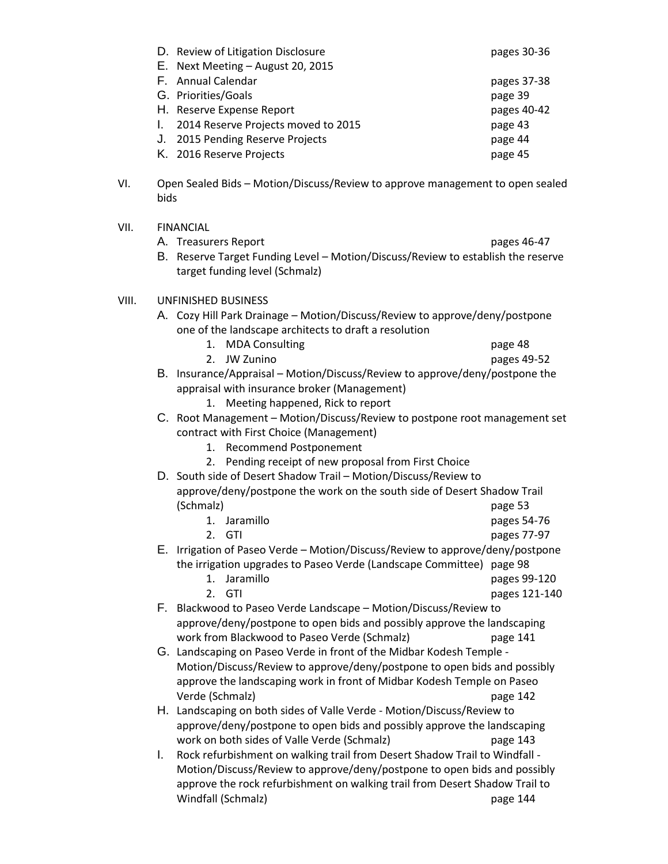|      | D. Review of Litigation Disclosure                                                                                 | pages 30-36 |  |
|------|--------------------------------------------------------------------------------------------------------------------|-------------|--|
|      | E. Next Meeting - August 20, 2015                                                                                  |             |  |
|      | F. Annual Calendar                                                                                                 | pages 37-38 |  |
|      | G. Priorities/Goals                                                                                                | page 39     |  |
|      | H. Reserve Expense Report                                                                                          | pages 40-42 |  |
|      | 2014 Reserve Projects moved to 2015<br>L.                                                                          | page 43     |  |
|      | 2015 Pending Reserve Projects<br>J.                                                                                | page 44     |  |
|      | K. 2016 Reserve Projects                                                                                           | page 45     |  |
| VI.  | Open Sealed Bids - Motion/Discuss/Review to approve management to open sealed<br>bids                              |             |  |
| VII. | <b>FINANCIAL</b>                                                                                                   |             |  |
|      | A. Treasurers Report                                                                                               | pages 46-47 |  |
|      | B. Reserve Target Funding Level - Motion/Discuss/Review to establish the reserve<br>target funding level (Schmalz) |             |  |

### VIII. UNFINISHED BUSINESS

VII.

- A. Cozy Hill Park Drainage Motion/Discuss/Review to approve/deny/postpone one of the landscape architects to draft a resolution
	- 1. MDA Consulting and the consulting page 48
	- 2. JW Zunino pages 49-52
- B. Insurance/Appraisal Motion/Discuss/Review to approve/deny/postpone the appraisal with insurance broker (Management)
	- 1. Meeting happened, Rick to report
- C. Root Management Motion/Discuss/Review to postpone root management set contract with First Choice (Management)
	- 1. Recommend Postponement
	- 2. Pending receipt of new proposal from First Choice
- D. South side of Desert Shadow Trail Motion/Discuss/Review to approve/deny/postpone the work on the south side of Desert Shadow Trail (Schmalz) page 53

|                                                                      | 1. Jaramillo                                                                  | pages 54-76 |
|----------------------------------------------------------------------|-------------------------------------------------------------------------------|-------------|
|                                                                      | 2. GTI                                                                        | pages 77-97 |
|                                                                      | E. Irrigation of Paseo Verde – Motion/Discuss/Review to approve/deny/postpone |             |
| the irrigation upgrades to Paseo Verde (Landscape Committee) page 98 |                                                                               |             |

- 1. Jaramillo pages 99-120
	- 2. GTI
- F. Blackwood to Paseo Verde Landscape Motion/Discuss/Review to approve/deny/postpone to open bids and possibly approve the landscaping work from Blackwood to Paseo Verde (Schmalz) page 141
- G. Landscaping on Paseo Verde in front of the Midbar Kodesh Temple Motion/Discuss/Review to approve/deny/postpone to open bids and possibly approve the landscaping work in front of Midbar Kodesh Temple on Paseo Verde (Schmalz) page 142
- H. Landscaping on both sides of Valle Verde Motion/Discuss/Review to approve/deny/postpone to open bids and possibly approve the landscaping work on both sides of Valle Verde (Schmalz) page 143
- I. Rock refurbishment on walking trail from Desert Shadow Trail to Windfall Motion/Discuss/Review to approve/deny/postpone to open bids and possibly approve the rock refurbishment on walking trail from Desert Shadow Trail to Windfall (Schmalz) page 144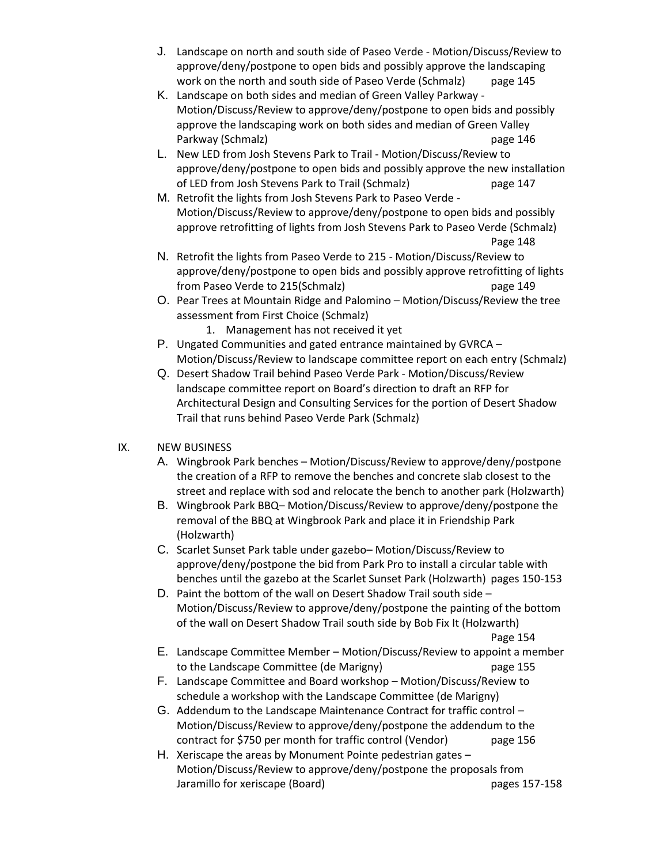- J. Landscape on north and south side of Paseo Verde Motion/Discuss/Review to approve/deny/postpone to open bids and possibly approve the landscaping work on the north and south side of Paseo Verde (Schmalz) page 145
- K. Landscape on both sides and median of Green Valley Parkway Motion/Discuss/Review to approve/deny/postpone to open bids and possibly approve the landscaping work on both sides and median of Green Valley Parkway (Schmalz) **page 146**
- L. New LED from Josh Stevens Park to Trail Motion/Discuss/Review to approve/deny/postpone to open bids and possibly approve the new installation of LED from Josh Stevens Park to Trail (Schmalz) page 147
- M. Retrofit the lights from Josh Stevens Park to Paseo Verde Motion/Discuss/Review to approve/deny/postpone to open bids and possibly approve retrofitting of lights from Josh Stevens Park to Paseo Verde (Schmalz) Page 148
- N. Retrofit the lights from Paseo Verde to 215 Motion/Discuss/Review to approve/deny/postpone to open bids and possibly approve retrofitting of lights from Paseo Verde to 215(Schmalz) page 149
- O. Pear Trees at Mountain Ridge and Palomino Motion/Discuss/Review the tree assessment from First Choice (Schmalz)
	- 1. Management has not received it yet
- P. Ungated Communities and gated entrance maintained by GVRCA Motion/Discuss/Review to landscape committee report on each entry (Schmalz)
- Q. Desert Shadow Trail behind Paseo Verde Park Motion/Discuss/Review landscape committee report on Board's direction to draft an RFP for Architectural Design and Consulting Services for the portion of Desert Shadow Trail that runs behind Paseo Verde Park (Schmalz)

# IX. NEW BUSINESS

- A. Wingbrook Park benches Motion/Discuss/Review to approve/deny/postpone the creation of a RFP to remove the benches and concrete slab closest to the street and replace with sod and relocate the bench to another park (Holzwarth)
- B. Wingbrook Park BBQ– Motion/Discuss/Review to approve/deny/postpone the removal of the BBQ at Wingbrook Park and place it in Friendship Park (Holzwarth)
- C. Scarlet Sunset Park table under gazebo– Motion/Discuss/Review to approve/deny/postpone the bid from Park Pro to install a circular table with benches until the gazebo at the Scarlet Sunset Park (Holzwarth) pages 150-153
- D. Paint the bottom of the wall on Desert Shadow Trail south side Motion/Discuss/Review to approve/deny/postpone the painting of the bottom of the wall on Desert Shadow Trail south side by Bob Fix It (Holzwarth)

Page 154

- E. Landscape Committee Member Motion/Discuss/Review to appoint a member to the Landscape Committee (de Marigny) page 155
- F. Landscape Committee and Board workshop Motion/Discuss/Review to schedule a workshop with the Landscape Committee (de Marigny)
- G. Addendum to the Landscape Maintenance Contract for traffic control Motion/Discuss/Review to approve/deny/postpone the addendum to the contract for \$750 per month for traffic control (Vendor) page 156
- H. Xeriscape the areas by Monument Pointe pedestrian gates Motion/Discuss/Review to approve/deny/postpone the proposals from Jaramillo for xeriscape (Board) **pages 157-158**